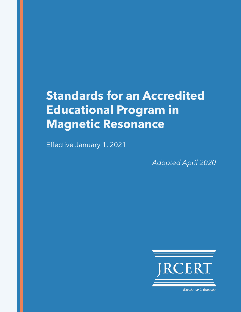# **Standards for an Accredited Educational Program in Magnetic Resonance**

Effective January 1, 2021

*Adopted April 2020*



**Excellence in Education**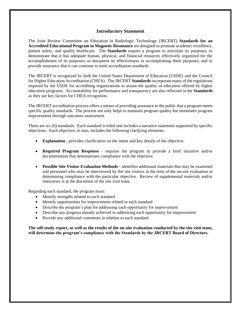#### **Introductory Statement**

The Joint Review Committee on Education in Radiologic Technology (JRCERT) **Standards for an Accredited Educational Program in Magnetic Resonance** are designed to promote academic excellence, patient safety, and quality healthcare. The **Standards** require a program to articulate its purposes; to demonstrate that it has adequate human, physical, and financial resources effectively organized for the accomplishment of its purposes; to document its effectiveness in accomplishing these purposes; and to provide assurance that it can continue to meet accreditation standards.

The JRCERT is recognized by both the United States Department of Education (USDE) and the Council for Higher Education Accreditation (CHEA). The JRCERT **Standards** incorporate many of the regulations required by the USDE for accrediting organizations to assure the quality of education offered by higher education programs. Accountability for performance and transparency are also reflected in the **Standards** as they are key factors for CHEA recognition.

The JRCERT accreditation process offers a means of providing assurance to the public that a program meets specific quality standards. The process not only helps to maintain program quality but stimulates program improvement through outcomes assessment.

There are six (6) standards. Each standard is titled and includes a narrative statement supported by specific objectives. Each objective, in turn, includes the following clarifying elements:

- **Explanation** provides clarification on the intent and key details of the objective.
- **Required Program Response**  requires the program to provide a brief narrative and/or documentation that demonstrates compliance with the objective.
- **Possible Site Visitor Evaluation Methods** identifies additional materials that may be examined and personnel who may be interviewed by the site visitors at the time of the on-site evaluation in determining compliance with the particular objective. Review of supplemental materials and/or interviews is at the discretion of the site visit team.

Regarding each standard, the program must:

- Identify strengths related to each standard
- Identify opportunities for improvement related to each standard
- Describe the program's plan for addressing each opportunity for improvement
- Describe any progress already achieved in addressing each opportunity for improvement
- Provide any additional comments in relation to each standard

**The self-study report, as well as the results of the on-site evaluation conducted by the site visit team, will determine the program's compliance with the Standards by the JRCERT Board of Directors.**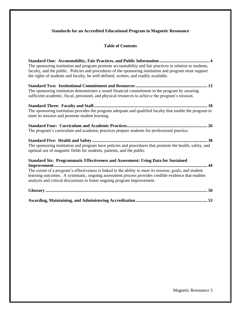# **Standards for an Accredited Educational Program in Magnetic Resonance**

# **Table of Contents**

| The sponsoring institution and program promote accountability and fair practices in relation to students,                                                                                                                                                                                                                                                                               |
|-----------------------------------------------------------------------------------------------------------------------------------------------------------------------------------------------------------------------------------------------------------------------------------------------------------------------------------------------------------------------------------------|
| faculty, and the public. Policies and procedures of the sponsoring institution and program must support<br>the rights of students and faculty, be well-defined, written, and readily available.                                                                                                                                                                                         |
| The sponsoring institution demonstrates a sound financial commitment to the program by assuring<br>sufficient academic, fiscal, personnel, and physical resources to achieve the program's mission.                                                                                                                                                                                     |
| The sponsoring institution provides the program adequate and qualified faculty that enable the program to<br>meet its mission and promote student learning.                                                                                                                                                                                                                             |
| The program's curriculum and academic practices prepare students for professional practice.                                                                                                                                                                                                                                                                                             |
| The sponsoring institution and program have policies and procedures that promote the health, safety, and<br>optimal use of magnetic fields for students, patients, and the public.                                                                                                                                                                                                      |
| <b>Standard Six: Programmatic Effectiveness and Assessment: Using Data for Sustained</b><br>The extent of a program's effectiveness is linked to the ability to meet its mission, goals, and student<br>learning outcomes. A systematic, ongoing assessment process provides credible evidence that enables<br>analysis and critical discussions to foster ongoing program improvement. |
|                                                                                                                                                                                                                                                                                                                                                                                         |
|                                                                                                                                                                                                                                                                                                                                                                                         |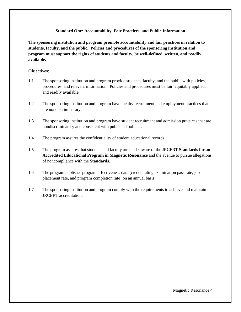#### **Standard One: Accountability, Fair Practices, and Public Information**

**The sponsoring institution and program promote accountability and fair practices in relation to students, faculty, and the public. Policies and procedures of the sponsoring institution and program must support the rights of students and faculty, be well-defined, written, and readily available.** 

#### **Objectives:**

- 1.1 The sponsoring institution and program provide students, faculty, and the public with policies, procedures, and relevant information. Policies and procedures must be fair, equitably applied, and readily available.
- 1.2 The sponsoring institution and program have faculty recruitment and employment practices that are nondiscriminatory.
- 1.3 The sponsoring institution and program have student recruitment and admission practices that are nondiscriminatory and consistent with published policies.
- 1.4 The program assures the confidentiality of student educational records.
- 1.5 The program assures that students and faculty are made aware of the JRCERT **Standards for an Accredited Educational Program in Magnetic Resonance** and the avenue to pursue allegations of noncompliance with the **Standards**.
- 1.6 The program publishes program effectiveness data (credentialing examination pass rate, job placement rate, and program completion rate) on an annual basis.
- 1.7 The sponsoring institution and program comply with the requirements to achieve and maintain JRCERT accreditation.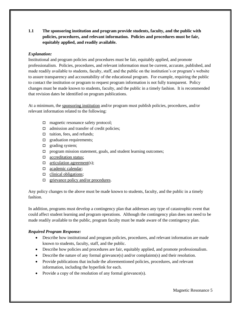**1.1 The sponsoring institution and program provide students, faculty, and the public with policies, procedures, and relevant information. Policies and procedures must be fair, equitably applied, and readily available.** 

# *Explanation:*

Institutional and program policies and procedures must be fair, equitably applied, and promote professionalism. Policies, procedures, and relevant information must be current, accurate, published, and made readily available to students, faculty, staff, and the public on the institution's or program's website to assure transparency and accountability of the educational program. For example, requiring the public to contact the institution or program to request program information is not fully transparent. Policy changes must be made known to students, faculty, and the public in a timely fashion. It is recommended that revision dates be identified on program publications.

At a minimum, the sponsoring institution and/or program must publish policies, procedures, and/or relevant information related to the following:

- □ magnetic resonance safety protocol;
- $\Box$  admission and transfer of credit policies;
- $\Box$  tuition, fees, and refunds:
- $\Box$  graduation requirements;
- $\Box$  grading system;
- $\Box$  program mission statement, goals, and student learning outcomes;
- □ accreditation status;
- $\Box$  articulation agreement(s);
- □ academic calendar;
- $\Box$  clinical obligations;
- $\Box$  grievance policy and/or procedures.

Any policy changes to the above must be made known to students, faculty, and the public in a timely fashion.

In addition, programs must develop a contingency plan that addresses any type of catastrophic event that could affect student learning and program operations. Although the contingency plan does not need to be made readily available to the public, program faculty must be made aware of the contingency plan.

# *Required Program Response:*

- Describe how institutional and program policies, procedures, and relevant information are made known to students, faculty, staff, and the public.
- Describe how policies and procedures are fair, equitably applied, and promote professionalism.
- Describe the nature of any formal grievance(s) and/or complaints(s) and their resolution.
- Provide publications that include the aforementioned policies, procedures, and relevant information, including the hyperlink for each.
- Provide a copy of the resolution of any formal grievance(s).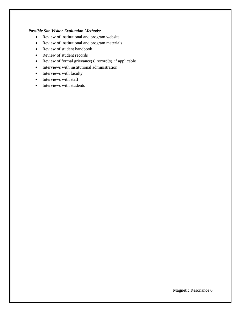#### *Possible Site Visitor Evaluation Methods:*

- Review of institutional and program website
- Review of institutional and program materials
- Review of student handbook
- Review of student records
- Review of formal grievance(s) record(s), if applicable
- Interviews with institutional administration
- Interviews with faculty
- Interviews with staff
- Interviews with students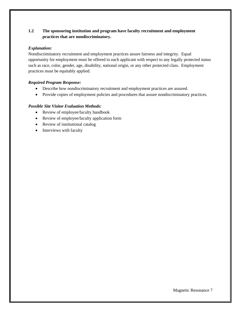# **1.2 The sponsoring institution and program have faculty recruitment and employment practices that are nondiscriminatory.**

## *Explanation:*

Nondiscriminatory recruitment and employment practices assure fairness and integrity. Equal opportunity for employment must be offered to each applicant with respect to any legally protected status such as race, color, gender, age, disability, national origin, or any other protected class. Employment practices must be equitably applied.

# *Required Program Response:*

- Describe how nondiscriminatory recruitment and employment practices are assured.
- Provide copies of employment policies and procedures that assure nondiscriminatory practices.

- Review of employee/faculty handbook
- Review of employee/faculty application form
- Review of institutional catalog
- Interviews with faculty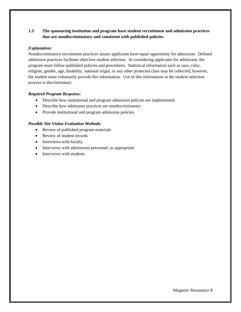# **1.3 The sponsoring institution and program have student recruitment and admission practices that are nondiscriminatory and consistent with published policies.**

#### *Explanation:*

Nondiscriminatory recruitment practices assure applicants have equal opportunity for admission. Defined admission practices facilitate objective student selection. In considering applicants for admission, the program must follow published policies and procedures. Statistical information such as race, color, religion, gender, age, disability, national origin, or any other protected class may be collected; however, the student must voluntarily provide this information. Use of this information in the student selection process is discriminatory.

#### *Required Program Response:*

- Describe how institutional and program admission policies are implemented.
- Describe how admission practices are nondiscriminatory.
- Provide institutional and program admission policies.

- Review of published program materials
- Review of student records
- Interviews with faculty
- Interviews with admissions personnel, as appropriate
- Interviews with students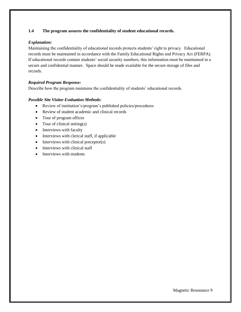## **1.4 The program assures the confidentiality of student educational records.**

#### *Explanation:*

Maintaining the confidentiality of educational records protects students' right to privacy. Educational records must be maintained in accordance with the Family Educational Rights and Privacy Act (FERPA). If educational records contain students' social security numbers, this information must be maintained in a secure and confidential manner. Space should be made available for the secure storage of files and records.

#### *Required Program Response:*

Describe how the program maintains the confidentiality of students' educational records.

- Review of institution's/program's published policies/procedures
- Review of student academic and clinical records
- Tour of program offices
- Tour of clinical setting(s)
- Interviews with faculty
- Interviews with clerical staff, if applicable
- Interviews with clinical preceptor(s)
- Interviews with clinical staff
- Interviews with students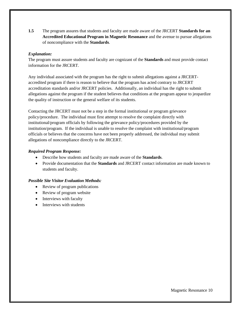**1.5** The program assures that students and faculty are made aware of the JRCERT **Standards for an Accredited Educational Program in Magnetic Resonance** and the avenue to pursue allegations of noncompliance with the **Standards**.

#### *Explanation:*

The program must assure students and faculty are cognizant of the **Standards** and must provide contact information for the JRCERT.

Any individual associated with the program has the right to submit allegations against a JRCERTaccredited program if there is reason to believe that the program has acted contrary to JRCERT accreditation standards and/or JRCERT policies. Additionally, an individual has the right to submit allegations against the program if the student believes that conditions at the program appear to jeopardize the quality of instruction or the general welfare of its students.

Contacting the JRCERT must not be a step in the formal institutional or program grievance policy/procedure. The individual must first attempt to resolve the complaint directly with institutional/program officials by following the grievance policy/procedures provided by the institution/program. If the individual is unable to resolve the complaint with institutional/program officials or believes that the concerns have not been properly addressed, the individual may submit allegations of noncompliance directly to the JRCERT.

#### *Required Program Response:*

- Describe how students and faculty are made aware of the **Standards**.
- Provide documentation that the **Standards** and JRCERT contact information are made known to students and faculty.

- Review of program publications
- Review of program website
- Interviews with faculty
- Interviews with students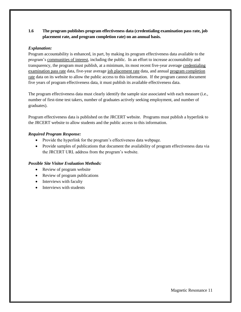# **1.6 The program publishes program effectiveness data (credentialing examination pass rate, job placement rate, and program completion rate) on an annual basis.**

## *Explanation:*

Program accountability is enhanced, in part, by making its program effectiveness data available to the program's communities of interest, including the public. In an effort to increase accountability and transparency, the program must publish, at a minimum, its most recent five-year average credentialing examination pass rate data, five-year average job placement rate data, and annual program completion rate data on its website to allow the public access to this information. If the program cannot document five years of program effectiveness data, it must publish its available effectiveness data.

The program effectiveness data must clearly identify the sample size associated with each measure (i.e., number of first-time test takers, number of graduates actively seeking employment, and number of graduates).

Program effectiveness data is published on the JRCERT website. Programs must publish a hyperlink to the JRCERT website to allow students and the public access to this information.

#### *Required Program Response:*

- Provide the hyperlink for the program's effectiveness data webpage.
- Provide samples of publications that document the availability of program effectiveness data via the JRCERT URL address from the program's website.

- Review of program website
- Review of program publications
- Interviews with faculty
- Interviews with students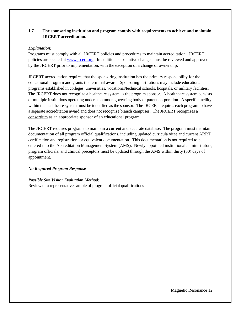# **1.7 The sponsoring institution and program comply with requirements to achieve and maintain JRCERT accreditation.**

#### *Explanation:*

Programs must comply with all JRCERT policies and procedures to maintain accreditation. JRCERT policies are located at [www.jrcert.org.](http://www.jrcert.org/) In addition, substantive changes must be reviewed and approved by the JRCERT prior to implementation, with the exception of a change of ownership.

JRCERT accreditation requires that the sponsoring institution has the primary responsibility for the educational program and grants the terminal award. Sponsoring institutions may include educational programs established in colleges, universities, vocational/technical schools, hospitals, or military facilities. The JRCERT does not recognize a healthcare system as the program sponsor. A healthcare system consists of multiple institutions operating under a common governing body or parent corporation. A specific facility within the healthcare system must be identified as the sponsor. The JRCERT requires each program to have a separate accreditation award and does not recognize branch campuses. The JRCERT recognizes a consortium as an appropriate sponsor of an educational program.

The JRCERT requires programs to maintain a current and accurate database. The program must maintain documentation of all program official qualifications, including updated curricula vitae and current ARRT certification and registration, or equivalent documentation. This documentation is not required to be entered into the Accreditation Management System (AMS). Newly appointed institutional administrators, program officials, and clinical preceptors must be updated through the AMS within thirty (30) days of appointment.

# *No Required Program Response*

# *Possible Site Visitor Evaluation Method:*

Review of a representative sample of program official qualifications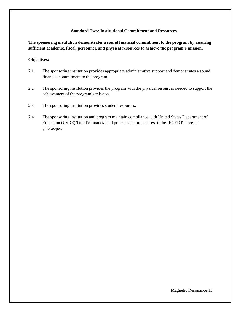#### **Standard Two: Institutional Commitment and Resources**

**The sponsoring institution demonstrates a sound financial commitment to the program by assuring sufficient academic, fiscal, personnel, and physical resources to achieve the program's mission.**

#### **Objectives:**

- 2.1 The sponsoring institution provides appropriate administrative support and demonstrates a sound financial commitment to the program.
- 2.2 The sponsoring institution provides the program with the physical resources needed to support the achievement of the program's mission.
- 2.3 The sponsoring institution provides student resources.
- 2.4 The sponsoring institution and program maintain compliance with United States Department of Education (USDE) Title IV financial aid policies and procedures, if the JRCERT serves as gatekeeper.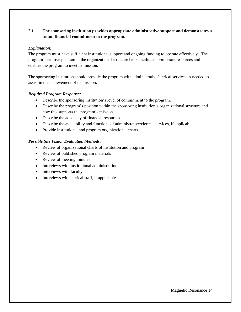# **2.1 The sponsoring institution provides appropriate administrative support and demonstrates a sound financial commitment to the program.**

#### *Explanation:*

The program must have sufficient institutional support and ongoing funding to operate effectively. The program's relative position in the organizational structure helps facilitate appropriate resources and enables the program to meet its mission.

The sponsoring institution should provide the program with administrative/clerical services as needed to assist in the achievement of its mission.

#### *Required Program Response:*

- Describe the sponsoring institution's level of commitment to the program.
- Describe the program's position within the sponsoring institution's organizational structure and how this supports the program's mission.
- Describe the adequacy of financial resources.
- Describe the availability and functions of administrative/clerical services, if applicable.
- Provide institutional and program organizational charts.

- Review of organizational charts of institution and program
- Review of published program materials
- Review of meeting minutes
- Interviews with institutional administration
- Interviews with faculty
- Interviews with clerical staff, if applicable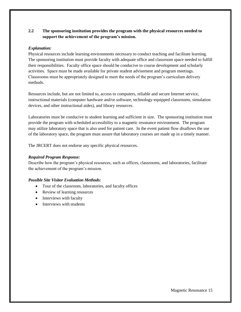# **2.2 The sponsoring institution provides the program with the physical resources needed to support the achievement of the program's mission.**

#### *Explanation:*

Physical resources include learning environments necessary to conduct teaching and facilitate learning. The sponsoring institution must provide faculty with adequate office and classroom space needed to fulfill their responsibilities. Faculty office space should be conducive to course development and scholarly activities. Space must be made available for private student advisement and program meetings. Classrooms must be appropriately designed to meet the needs of the program's curriculum delivery methods.

Resources include, but are not limited to, access to computers, reliable and secure Internet service, instructional materials (computer hardware and/or software, technology-equipped classrooms, simulation devices, and other instructional aides), and library resources.

Laboratories must be conducive to student learning and sufficient in size. The sponsoring institution must provide the program with scheduled accessibility to a magnetic resonance environment. The program may utilize laboratory space that is also used for patient care. In the event patient flow disallows the use of the laboratory space, the program must assure that laboratory courses are made up in a timely manner.

The JRCERT does not endorse any specific physical resources.

## *Required Program Response:*

Describe how the program's physical resources, such as offices, classrooms, and laboratories, facilitate the achievement of the program's mission.

- Tour of the classroom, laboratories, and faculty offices
- Review of learning resources
- Interviews with faculty
- Interviews with students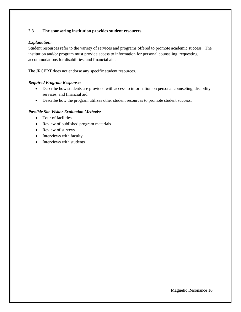# **2.3 The sponsoring institution provides student resources.**

## *Explanation:*

Student resources refer to the variety of services and programs offered to promote academic success. The institution and/or program must provide access to information for personal counseling, requesting accommodations for disabilities, and financial aid.

The JRCERT does not endorse any specific student resources.

#### *Required Program Response:*

- Describe how students are provided with access to information on personal counseling, disability services, and financial aid.
- Describe how the program utilizes other student resources to promote student success.

- Tour of facilities
- Review of published program materials
- Review of surveys
- Interviews with faculty
- Interviews with students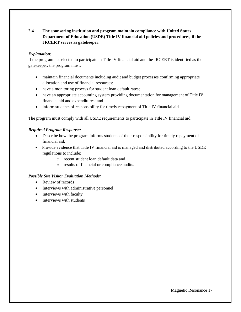# **2.4 The sponsoring institution and program maintain compliance with United States Department of Education (USDE) Title IV financial aid policies and procedures, if the JRCERT serves as gatekeeper.**

# *Explanation:*

If the program has elected to participate in Title IV financial aid and the JRCERT is identified as the gatekeeper, the program must:

- maintain financial documents including audit and budget processes confirming appropriate allocation and use of financial resources;
- have a monitoring process for student loan default rates;
- have an appropriate accounting system providing documentation for management of Title IV financial aid and expenditures; and
- inform students of responsibility for timely repayment of Title IV financial aid.

The program must comply with all USDE requirements to participate in Title IV financial aid.

#### *Required Program Response:*

- Describe how the program informs students of their responsibility for timely repayment of financial aid.
- Provide evidence that Title IV financial aid is managed and distributed according to the USDE regulations to include:
	- o recent student loan default data and
	- o results of financial or compliance audits.

- Review of records
- Interviews with administrative personnel
- Interviews with faculty
- Interviews with students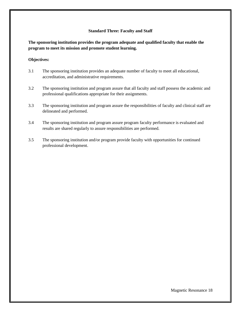#### **Standard Three: Faculty and Staff**

**The sponsoring institution provides the program adequate and qualified faculty that enable the program to meet its mission and promote student learning.**

#### **Objectives:**

- 3.1 The sponsoring institution provides an adequate number of faculty to meet all educational, accreditation, and administrative requirements.
- 3.2 The sponsoring institution and program assure that all faculty and staff possess the academic and professional qualifications appropriate for their assignments.
- 3.3 The sponsoring institution and program assure the responsibilities of faculty and clinical staff are delineated and performed.
- 3.4 The sponsoring institution and program assure program faculty performance is evaluated and results are shared regularly to assure responsibilities are performed.
- 3.5 The sponsoring institution and/or program provide faculty with opportunities for continued professional development.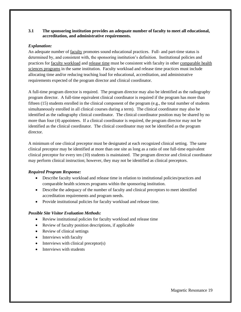#### **3.1 The sponsoring institution provides an adequate number of faculty to meet all educational, accreditation, and administrative requirements.**

#### *Explanation:*

An adequate number of faculty promotes sound educational practices. Full- and part-time status is determined by, and consistent with, the sponsoring institution's definition. Institutional policies and practices for faculty workload and release time must be consistent with faculty in other comparable health sciences programs in the same institution. Faculty workload and release time practices must include allocating time and/or reducing teaching load for educational, accreditation, and administrative requirements expected of the program director and clinical coordinator.

A full-time program director is required. The program director may also be identified as the radiography program director. A full-time equivalent clinical coordinator is required if the program has more than fifteen (15) students enrolled in the clinical component of the program (e.g., the total number of students simultaneously enrolled in all clinical courses during a term). The clinical coordinator may also be identified as the radiography clinical coordinator. The clinical coordinator position may be shared by no more than four (4) appointees. If a clinical coordinator is required, the program director may not be identified as the clinical coordinator. The clinical coordinator may not be identified as the program director.

A minimum of one clinical preceptor must be designated at each recognized clinical setting. The same clinical preceptor may be identified at more than one site as long as a ratio of one full-time equivalent clinical preceptor for every ten (10) students is maintained. The program director and clinical coordinator may perform clinical instruction; however, they may not be identified as clinical preceptors.

#### *Required Program Response:*

- Describe faculty workload and release time in relation to institutional policies/practices and comparable health sciences programs within the sponsoring institution.
- Describe the adequacy of the number of faculty and clinical preceptors to meet identified accreditation requirements and program needs.
- Provide institutional policies for faculty workload and release time.

- Review institutional policies for faculty workload and release time
- Review of faculty position descriptions, if applicable
- Review of clinical settings
- Interviews with faculty
- Interviews with clinical preceptor(s)
- Interviews with students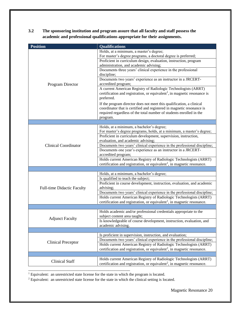**3.2 The sponsoring institution and program assure that all faculty and staff possess the academic and professional qualifications appropriate for their assignments.** 

| <b>Position</b>                   | <b>Qualifications</b>                                                                 |
|-----------------------------------|---------------------------------------------------------------------------------------|
|                                   | Holds, at a minimum, a master's degree;                                               |
|                                   | For master's degree programs, a doctoral degree is preferred;                         |
|                                   | Proficient in curriculum design, evaluation, instruction, program                     |
|                                   | administration, and academic advising;                                                |
|                                   | Documents three years' clinical experience in the professional                        |
|                                   | discipline;                                                                           |
|                                   | Documents two years' experience as an instructor in a JRCERT-                         |
| Program Director                  | accredited program;                                                                   |
|                                   | A current American Registry of Radiologic Technologists (ARRT)                        |
|                                   | certification and registration, or equivalent <sup>1</sup> , in magnetic resonance is |
|                                   | preferred.                                                                            |
|                                   | If the program director does not meet this qualification, a clinical                  |
|                                   | coordinator that is certified and registered in magnetic resonance is                 |
|                                   | required regardless of the total number of students enrolled in the                   |
|                                   | program.                                                                              |
|                                   | Holds, at a minimum, a bachelor's degree;                                             |
|                                   | For master's degree programs, holds, at a minimum, a master's degree;                 |
|                                   | Proficient in curriculum development, supervision, instruction,                       |
|                                   | evaluation, and academic advising;                                                    |
| <b>Clinical Coordinator</b>       | Documents two years' clinical experience in the professional discipline;              |
|                                   | Documents one year's experience as an instructor in a JRCERT-                         |
|                                   | accredited program;                                                                   |
|                                   | Holds current American Registry of Radiologic Technologists (ARRT)                    |
|                                   | certification and registration, or equivalent <sup>1</sup> , in magnetic resonance.   |
|                                   |                                                                                       |
|                                   | Holds, at a minimum, a bachelor's degree;                                             |
|                                   | Is qualified to teach the subject;                                                    |
|                                   | Proficient in course development, instruction, evaluation, and academic               |
| <b>Full-time Didactic Faculty</b> | advising;                                                                             |
|                                   | Documents two years' clinical experience in the professional discipline;              |
|                                   | Holds current American Registry of Radiologic Technologists (ARRT)                    |
|                                   | certification and registration, or equivalent <sup>1</sup> , in magnetic resonance.   |
|                                   | Holds academic and/or professional credentials appropriate to the                     |
|                                   | subject content area taught;                                                          |
| <b>Adjunct Faculty</b>            | Is knowledgeable of course development, instruction, evaluation, and                  |
|                                   | academic advising.                                                                    |
|                                   |                                                                                       |
|                                   | Is proficient in supervision, instruction, and evaluation;                            |
| <b>Clinical Preceptor</b>         | Documents two years' clinical experience in the professional discipline;              |
|                                   | Holds current American Registry of Radiologic Technologists (ARRT)                    |
|                                   | certification and registration, or equivalent <sup>2</sup> , in magnetic resonance.   |
|                                   |                                                                                       |
| <b>Clinical Staff</b>             | Holds current American Registry of Radiologic Technologists (ARRT)                    |
|                                   | certification and registration, or equivalent <sup>2</sup> , in magnetic resonance.   |
|                                   |                                                                                       |

<sup>1</sup> Equivalent: an unrestricted state license for the state in which the program is located.

<sup>2</sup> Equivalent: an unrestricted state license for the state in which the clinical setting is located.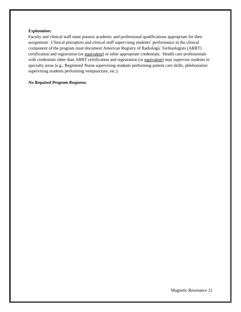#### *Explanation:*

Faculty and clinical staff must possess academic and professional qualifications appropriate for their assignment. Clinical preceptors and clinical staff supervising students' performance in the clinical component of the program must document American Registry of Radiologic Technologists (ARRT) certification and registration (or equivalent) or other appropriate credentials. Health care professionals with credentials other than ARRT certification and registration (or equivalent) may supervise students in specialty areas (e.g., Registered Nurse supervising students performing patient care skills, phlebotomist supervising students performing venipuncture, etc.).

#### *No Required Program Response.*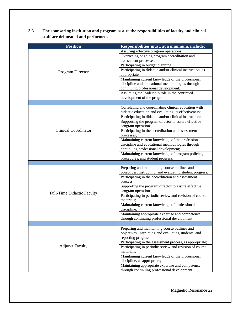| 3.3 | The sponsoring institution and program assure the responsibilities of faculty and clinical |
|-----|--------------------------------------------------------------------------------------------|
|     | staff are delineated and performed.                                                        |

| <b>Position</b>                   | Responsibilities must, at a minimum, include:                                                                  |
|-----------------------------------|----------------------------------------------------------------------------------------------------------------|
|                                   | Assuring effective program operations;                                                                         |
|                                   | Overseeing ongoing program accreditation and                                                                   |
|                                   | assessment processes;                                                                                          |
|                                   | Participating in budget planning;                                                                              |
| Program Director                  | Participating in didactic and/or clinical instruction, as                                                      |
|                                   | appropriate;                                                                                                   |
|                                   | Maintaining current knowledge of the professional                                                              |
|                                   | discipline and educational methodologies through                                                               |
|                                   | continuing professional development;                                                                           |
|                                   | Assuming the leadership role in the continued                                                                  |
|                                   | development of the program.                                                                                    |
|                                   |                                                                                                                |
|                                   | Correlating and coordinating clinical education with                                                           |
|                                   | didactic education and evaluating its effectiveness;                                                           |
|                                   | Participating in didactic and/or clinical instruction;                                                         |
|                                   | Supporting the program director to assure effective                                                            |
|                                   | program operations;                                                                                            |
| <b>Clinical Coordinator</b>       | Participating in the accreditation and assessment                                                              |
|                                   | processes;                                                                                                     |
|                                   | Maintaining current knowledge of the professional                                                              |
|                                   | discipline and educational methodologies through                                                               |
|                                   | continuing professional development;                                                                           |
|                                   | Maintaining current knowledge of program policies,                                                             |
|                                   | procedures, and student progress.                                                                              |
|                                   |                                                                                                                |
|                                   | Preparing and maintaining course outlines and                                                                  |
|                                   | objectives, instructing, and evaluating student progress;<br>Participating in the accreditation and assessment |
|                                   | process;                                                                                                       |
|                                   | Supporting the program director to assure effective                                                            |
|                                   | program operations;                                                                                            |
| <b>Full-Time Didactic Faculty</b> | Participating in periodic review and revision of course                                                        |
|                                   | materials;                                                                                                     |
|                                   | Maintaining current knowledge of professional                                                                  |
|                                   | discipline;                                                                                                    |
|                                   | Maintaining appropriate expertise and competence                                                               |
|                                   | through continuing professional development.                                                                   |
|                                   |                                                                                                                |
|                                   | Preparing and maintaining course outlines and                                                                  |
|                                   | objectives, instructing and evaluating students, and                                                           |
|                                   | reporting progress;                                                                                            |
|                                   | Participating in the assessment process, as appropriate;                                                       |
| <b>Adjunct Faculty</b>            | Participating in periodic review and revision of course                                                        |
|                                   | materials;                                                                                                     |
|                                   | Maintaining current knowledge of the professional                                                              |
|                                   | discipline, as appropriate;                                                                                    |
|                                   | Maintaining appropriate expertise and competence                                                               |
|                                   | through continuing professional development.                                                                   |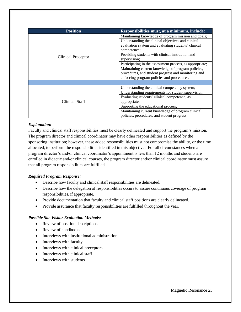| <b>Position</b>           | Responsibilities must, at a minimum, include:            |
|---------------------------|----------------------------------------------------------|
| <b>Clinical Preceptor</b> | Maintaining knowledge of program mission and goals;      |
|                           | Understanding the clinical objectives and clinical       |
|                           | evaluation system and evaluating students' clinical      |
|                           | competence;                                              |
|                           | Providing students with clinical instruction and         |
|                           | supervision;                                             |
|                           | Participating in the assessment process, as appropriate; |
|                           | Maintaining current knowledge of program policies,       |
|                           | procedures, and student progress and monitoring and      |
|                           | enforcing program policies and procedures.               |
|                           |                                                          |
|                           | Understanding the clinical competency system;            |
| Clinical Staff            | Understanding requirements for student supervision;      |
|                           | Evaluating students' clinical competence, as             |
|                           | appropriate;                                             |
|                           | Supporting the educational process;                      |
|                           | Maintaining current knowledge of program clinical        |
|                           | policies, procedures, and student progress.              |

#### *Explanation:*

Faculty and clinical staff responsibilities must be clearly delineated and support the program's mission. The program director and clinical coordinator may have other responsibilities as defined by the sponsoring institution; however, these added responsibilities must not compromise the ability, or the time allocated, to perform the responsibilities identified in this objective. For all circumstances when a program director's and/or clinical coordinator's appointment is less than 12 months and students are enrolled in didactic and/or clinical courses, the program director and/or clinical coordinator must assure that all program responsibilities are fulfilled.

# *Required Program Response:*

- Describe how faculty and clinical staff responsibilities are delineated.
- Describe how the delegation of responsibilities occurs to assure continuous coverage of program responsibilities, if appropriate.
- Provide documentation that faculty and clinical staff positions are clearly delineated.
- Provide assurance that faculty responsibilities are fulfilled throughout the year.

- Review of position descriptions
- Review of handbooks
- Interviews with institutional administration
- Interviews with faculty
- Interviews with clinical preceptors
- Interviews with clinical staff
- Interviews with students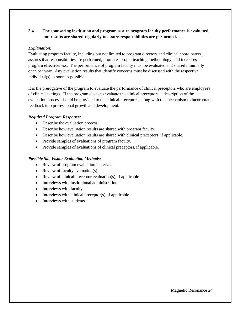# **3.4 The sponsoring institution and program assure program faculty performance is evaluated and results are shared regularly to assure responsibilities are performed.**

#### *Explanation:*

Evaluating program faculty, including but not limited to program directors and clinical coordinators, assures that responsibilities are performed, promotes proper teaching methodology, and increases program effectiveness. The performance of program faculty must be evaluated and shared minimally once per year. Any evaluation results that identify concerns must be discussed with the respective individual(s) as soon as possible.

It is the prerogative of the program to evaluate the performance of clinical preceptors who are employees of clinical settings. If the program elects to evaluate the clinical preceptors, a description of the evaluation process should be provided to the clinical preceptors, along with the mechanism to incorporate feedback into professional growth and development.

#### *Required Program Response:*

- Describe the evaluation process.
- Describe how evaluation results are shared with program faculty.
- Describe how evaluation results are shared with clinical preceptors, if applicable.
- Provide samples of evaluations of program faculty.
- Provide samples of evaluations of clinical preceptors, if applicable.

- Review of program evaluation materials
- Review of faculty evaluation(s)
- Review of clinical preceptor evaluation(s), if applicable
- Interviews with institutional administration
- Interviews with faculty
- $\bullet$  Interviews with clinical preceptor(s), if applicable
- Interviews with students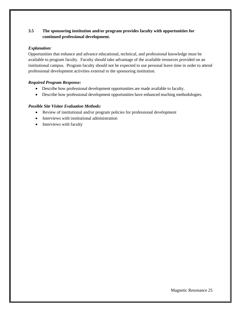# **3.5 The sponsoring institution and/or program provides faculty with opportunities for continued professional development.**

# *Explanation:*

Opportunities that enhance and advance educational, technical, and professional knowledge must be available to program faculty. Faculty should take advantage of the available resources provided on an institutional campus. Program faculty should not be expected to use personal leave time in order to attend professional development activities external to the sponsoring institution.

# *Required Program Response:*

- Describe how professional development opportunities are made available to faculty.
- Describe how professional development opportunities have enhanced teaching methodologies.

- Review of institutional and/or program policies for professional development
- Interviews with institutional administration
- Interviews with faculty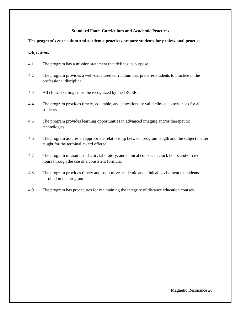#### **Standard Four: Curriculum and Academic Practices**

#### **The program's curriculum and academic practices prepare students for professional practice.**

#### **Objectives:**

- 4.1 The program has a mission statement that defines its purpose.
- 4.2 The program provides a well-structured curriculum that prepares students to practice in the professional discipline.
- 4.3 All clinical settings must be recognized by the JRCERT.
- 4.4 The program provides timely, equitable, and educationally valid clinical experiences for all students.
- 4.5 The program provides learning opportunities in advanced imaging and/or therapeutic technologies.
- 4.6 The program assures an appropriate relationship between program length and the subject matter taught for the terminal award offered.
- 4.7 The program measures didactic, laboratory, and clinical courses in clock hours and/or credit hours through the use of a consistent formula.
- 4.8 The program provides timely and supportive academic and clinical advisement to students enrolled in the program.
- 4.9 The program has procedures for maintaining the integrity of distance education courses.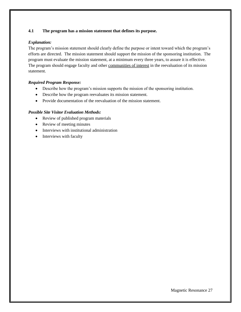# **4.1 The program has a mission statement that defines its purpose.**

#### *Explanation:*

The program's mission statement should clearly define the purpose or intent toward which the program's efforts are directed. The mission statement should support the mission of the sponsoring institution. The program must evaluate the mission statement, at a minimum every three years, to assure it is effective. The program should engage faculty and other communities of interest in the reevaluation of its mission statement.

# *Required Program Response:*

- Describe how the program's mission supports the mission of the sponsoring institution.
- Describe how the program reevaluates its mission statement.
- Provide documentation of the reevaluation of the mission statement.

- Review of published program materials
- Review of meeting minutes
- Interviews with institutional administration
- Interviews with faculty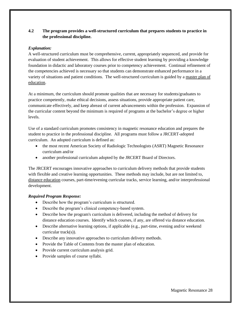# **4.2 The program provides a well-structured curriculum that prepares students to practice in the professional discipline.**

# *Explanation:*

A well-structured curriculum must be comprehensive, current, appropriately sequenced, and provide for evaluation of student achievement. This allows for effective student learning by providing a knowledge foundation in didactic and laboratory courses prior to competency achievement. Continual refinement of the competencies achieved is necessary so that students can demonstrate enhanced performance in a variety of situations and patient conditions. The well-structured curriculum is guided by a master plan of education.

At a minimum, the curriculum should promote qualities that are necessary for students/graduates to practice competently, make ethical decisions, assess situations, provide appropriate patient care, communicate effectively, and keep abreast of current advancements within the profession. Expansion of the curricular content beyond the minimum is required of programs at the bachelor's degree or higher levels.

Use of a standard curriculum promotes consistency in magnetic resonance education and prepares the student to practice in the professional discipline. All programs must follow a JRCERT-adopted curriculum. An adopted curriculum is defined as:

- the most recent American Society of Radiologic Technologists (ASRT) Magnetic Resonance curriculum and/or
- another professional curriculum adopted by the JRCERT Board of Directors.

The JRCERT encourages innovative approaches to curriculum delivery methods that provide students with flexible and creative learning opportunities. These methods may include, but are not limited to, distance education courses, part-time/evening curricular tracks, service learning, and/or interprofessional development.

#### *Required Program Response:*

- Describe how the program's curriculum is structured.
- Describe the program's clinical competency-based system.
- Describe how the program's curriculum is delivered, including the method of delivery for distance education courses. Identify which courses, if any, are offered via distance education.
- Describe alternative learning options, if applicable (e.g., part-time, evening and/or weekend curricular track(s)).
- Describe any innovative approaches to curriculum delivery methods.
- Provide the Table of Contents from the master plan of education.
- Provide current curriculum analysis grid.
- Provide samples of course syllabi.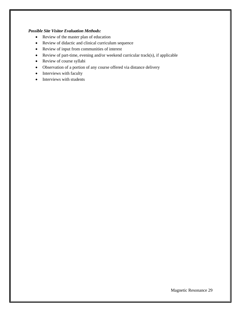- Review of the master plan of education
- Review of didactic and clinical curriculum sequence
- Review of input from communities of interest
- Review of part-time, evening and/or weekend curricular track(s), if applicable
- Review of course syllabi
- Observation of a portion of any course offered via distance delivery
- Interviews with faculty
- Interviews with students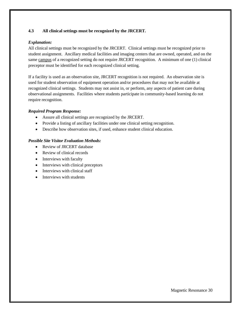#### **4.3 All clinical settings must be recognized by the JRCERT.**

## *Explanation:*

All clinical settings must be recognized by the JRCERT. Clinical settings must be recognized prior to student assignment. Ancillary medical facilities and imaging centers that are owned, operated, and on the same campus of a recognized setting do not require JRCERT recognition. A minimum of one (1) clinical preceptor must be identified for each recognized clinical setting.

If a facility is used as an observation site, JRCERT recognition is not required. An observation site is used for student observation of equipment operation and/or procedures that may not be available at recognized clinical settings. Students may not assist in, or perform, any aspects of patient care during observational assignments. Facilities where students participate in community-based learning do not require recognition.

#### *Required Program Response:*

- Assure all clinical settings are recognized by the JRCERT.
- Provide a listing of ancillary facilities under one clinical setting recognition.
- Describe how observation sites, if used, enhance student clinical education.

- Review of JRCERT database
- Review of clinical records
- Interviews with faculty
- Interviews with clinical preceptors
- Interviews with clinical staff
- Interviews with students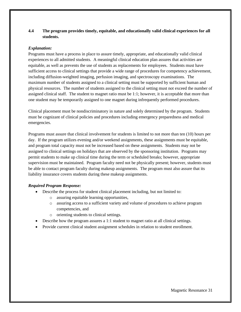# **4.4 The program provides timely, equitable, and educationally valid clinical experiences for all students.**

#### *Explanation:*

Programs must have a process in place to assure timely, appropriate, and educationally valid clinical experiences to all admitted students. A meaningful clinical education plan assures that activities are equitable, as well as prevents the use of students as replacements for employees. Students must have sufficient access to clinical settings that provide a wide range of procedures for competency achievement, including diffusion-weighted imaging, perfusion imaging, and spectroscopy examinations. The maximum number of students assigned to a clinical setting must be supported by sufficient human and physical resources. The number of students assigned to the clinical setting must not exceed the number of assigned clinical staff. The student to magnet ratio must be 1:1; however, it is acceptable that more than one student may be temporarily assigned to one magnet during infrequently performed procedures.

Clinical placement must be nondiscriminatory in nature and solely determined by the program. Students must be cognizant of clinical policies and procedures including emergency preparedness and medical emergencies.

Programs must assure that clinical involvement for students is limited to not more than ten (10) hours per day. If the program utilizes evening and/or weekend assignments, these assignments must be equitable, and program total capacity must not be increased based on these assignments. Students may not be assigned to clinical settings on holidays that are observed by the sponsoring institution. Programs may permit students to make up clinical time during the term or scheduled breaks; however, appropriate supervision must be maintained. Program faculty need not be physically present; however, students must be able to contact program faculty during makeup assignments. The program must also assure that its liability insurance covers students during these makeup assignments.

#### *Required Program Response:*

- Describe the process for student clinical placement including, but not limited to:
	- o assuring equitable learning opportunities,
	- o assuring access to a sufficient variety and volume of procedures to achieve program competencies, and
	- o orienting students to clinical settings.
- Describe how the program assures a 1:1 student to magnet ratio at all clinical settings.
- Provide current clinical student assignment schedules in relation to student enrollment.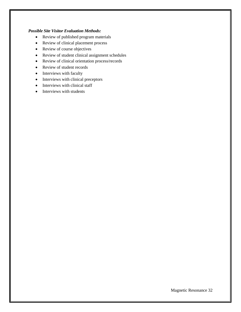- Review of published program materials
- Review of clinical placement process
- Review of course objectives
- Review of student clinical assignment schedules
- Review of clinical orientation process/records
- Review of student records
- Interviews with faculty
- Interviews with clinical preceptors
- Interviews with clinical staff
- Interviews with students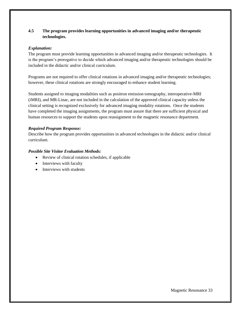# **4.5 The program provides learning opportunities in advanced imaging and/or therapeutic technologies.**

#### *Explanation:*

The program must provide learning opportunities in advanced imaging and/or therapeutic technologies. It is the program's prerogative to decide which advanced imaging and/or therapeutic technologies should be included in the didactic and/or clinical curriculum.

Programs are not required to offer clinical rotations in advanced imaging and/or therapeutic technologies; however, these clinical rotations are strongly encouraged to enhance student learning.

Students assigned to imaging modalities such as positron emission tomography, interoperative-MRI (iMRI), and MR-Linac, are not included in the calculation of the approved clinical capacity unless the clinical setting is recognized exclusively for advanced imaging modality rotations. Once the students have completed the imaging assignments, the program must assure that there are sufficient physical and human resources to support the students upon reassignment to the magnetic resonance department.

#### *Required Program Response:*

Describe how the program provides opportunities in advanced technologies in the didactic and/or clinical curriculum.

- Review of clinical rotation schedules, if applicable
- Interviews with faculty
- Interviews with students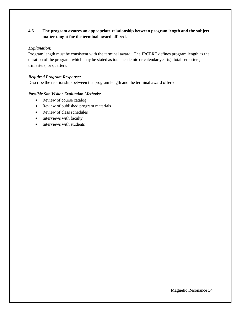# **4.6 The program assures an appropriate relationship between program length and the subject matter taught for the terminal award offered.**

#### *Explanation:*

Program length must be consistent with the terminal award. The JRCERT defines program length as the duration of the program, which may be stated as total academic or calendar year(s), total semesters, trimesters, or quarters.

## *Required Program Response:*

Describe the relationship between the program length and the terminal award offered.

- Review of course catalog
- Review of published program materials
- Review of class schedules
- Interviews with faculty
- Interviews with students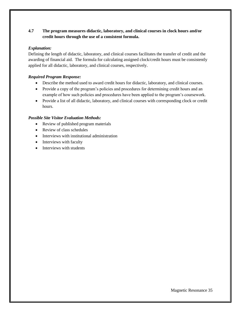# **4.7 The program measures didactic, laboratory, and clinical courses in clock hours and/or credit hours through the use of a consistent formula.**

## *Explanation:*

Defining the length of didactic, laboratory, and clinical courses facilitates the transfer of credit and the awarding of financial aid. The formula for calculating assigned clock/credit hours must be consistently applied for all didactic, laboratory, and clinical courses, respectively.

## *Required Program Response:*

- Describe the method used to award credit hours for didactic, laboratory, and clinical courses.
- Provide a copy of the program's policies and procedures for determining credit hours and an example of how such policies and procedures have been applied to the program's coursework.
- Provide a list of all didactic, laboratory, and clinical courses with corresponding clock or credit hours.

- Review of published program materials
- Review of class schedules
- Interviews with institutional administration
- Interviews with faculty
- Interviews with students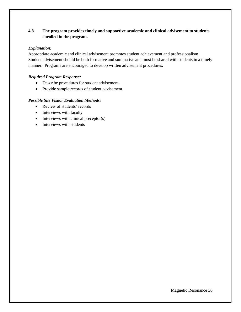# **4.8 The program provides timely and supportive academic and clinical advisement to students enrolled in the program.**

#### *Explanation:*

Appropriate academic and clinical advisement promotes student achievement and professionalism. Student advisement should be both formative and summative and must be shared with students in a timely manner. Programs are encouraged to develop written advisement procedures.

# *Required Program Response:*

- Describe procedures for student advisement.
- Provide sample records of student advisement.

- Review of students' records
- Interviews with faculty
- Interviews with clinical preceptor(s)
- Interviews with students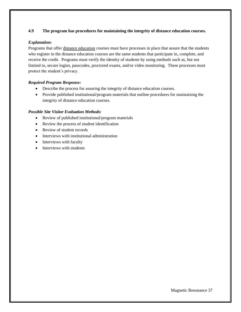# **4.9 The program has procedures for maintaining the integrity of distance education courses.**

#### *Explanation:*

Programs that offer distance education courses must have processes in place that assure that the students who register in the distance education courses are the same students that participate in, complete, and receive the credit. Programs must verify the identity of students by using methods such as, but not limited to, secure logins, passcodes, proctored exams, and/or video monitoring.These processes must protect the student's privacy.

# *Required Program Response:*

- Describe the process for assuring the integrity of distance education courses.
- Provide published institutional/program materials that outline procedures for maintaining the integrity of distance education courses.

- Review of published institutional/program materials
- Review the process of student identification
- Review of student records
- Interviews with institutional administration
- Interviews with faculty
- Interviews with students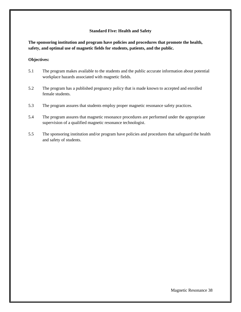#### **Standard Five: Health and Safety**

**The sponsoring institution and program have policies and procedures that promote the health, safety, and optimal use of magnetic fields for students, patients, and the public.** 

#### **Objectives:**

- 5.1 The program makes available to the students and the public accurate information about potential workplace hazards associated with magnetic fields.
- 5.2 The program has a published pregnancy policy that is made known to accepted and enrolled female students.
- 5.3 The program assures that students employ proper magnetic resonance safety practices.
- 5.4 The program assures that magnetic resonance procedures are performed under the appropriate supervision of a qualified magnetic resonance technologist.
- 5.5 The sponsoring institution and/or program have policies and procedures that safeguard the health and safety of students.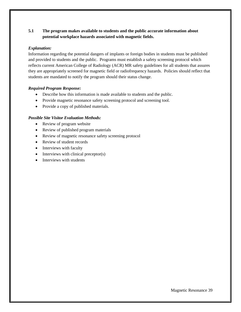# **5.1 The program makes available to students and the public accurate information about potential workplace hazards associated with magnetic fields.**

#### *Explanation:*

Information regarding the potential dangers of implants or foreign bodies in students must be published and provided to students and the public. Programs must establish a safety screening protocol which reflects current American College of Radiology (ACR) MR safety guidelines for all students that assures they are appropriately screened for magnetic field or radiofrequency hazards. Policies should reflect that students are mandated to notify the program should their status change.

#### *Required Program Response:*

- Describe how this information is made available to students and the public.
- Provide magnetic resonance safety screening protocol and screening tool.
- Provide a copy of published materials.

- Review of program website
- Review of published program materials
- Review of magnetic resonance safety screening protocol
- Review of student records
- Interviews with faculty
- Interviews with clinical preceptor(s)
- Interviews with students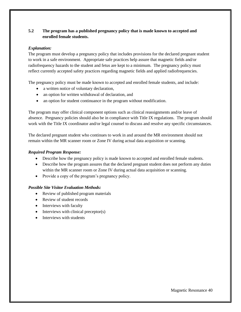# **5.2 The program has a published pregnancy policy that is made known to accepted and enrolled female students.**

## *Explanation:*

The program must develop a pregnancy policy that includes provisions for the declared pregnant student to work in a safe environment. Appropriate safe practices help assure that magnetic fields and/or radiofrequency hazards to the student and fetus are kept to a minimum. The pregnancy policy must reflect currently accepted safety practices regarding magnetic fields and applied radiofrequencies.

The pregnancy policy must be made known to accepted and enrolled female students, and include:

- a written notice of voluntary declaration,
- an option for written withdrawal of declaration, and
- an option for student continuance in the program without modification.

The program may offer clinical component options such as clinical reassignments and/or leave of absence. Pregnancy policies should also be in compliance with Title IX regulations. The program should work with the Title IX coordinator and/or legal counsel to discuss and resolve any specific circumstances.

The declared pregnant student who continues to work in and around the MR environment should not remain within the MR scanner room or Zone IV during actual data acquisition or scanning.

#### *Required Program Response:*

- Describe how the pregnancy policy is made known to accepted and enrolled female students.
- Describe how the program assures that the declared pregnant student does not perform any duties within the MR scanner room or Zone IV during actual data acquisition or scanning.
- Provide a copy of the program's pregnancy policy.

- Review of published program materials
- Review of student records
- Interviews with faculty
- Interviews with clinical preceptor(s)
- Interviews with students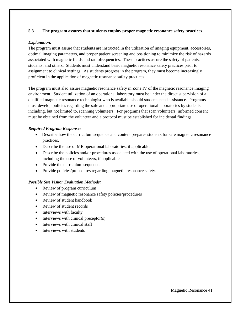#### **5.3 The program assures that students employ proper magnetic resonance safety practices.**

#### *Explanation:*

The program must assure that students are instructed in the utilization of imaging equipment, accessories, optimal imaging parameters, and proper patient screening and positioning to minimize the risk of hazards associated with magnetic fields and radiofrequencies. These practices assure the safety of patients, students, and others. Students must understand basic magnetic resonance safety practices prior to assignment to clinical settings. As students progress in the program, they must become increasingly proficient in the application of magnetic resonance safety practices.

The program must also assure magnetic resonance safety in Zone IV of the magnetic resonance imaging environment. Student utilization of an operational laboratory must be under the direct supervision of a qualified magnetic resonance technologist who is available should students need assistance. Programs must develop policies regarding the safe and appropriate use of operational laboratories by students including, but not limited to, scanning volunteers. For programs that scan volunteers, informed consent must be obtained from the volunteer and a protocol must be established for incidental findings.

#### *Required Program Response:*

- Describe how the curriculum sequence and content prepares students for safe magnetic resonance practices.
- Describe the use of MR operational laboratories, if applicable.
- Describe the policies and/or procedures associated with the use of operational laboratories, including the use of volunteers, if applicable.
- Provide the curriculum sequence.
- Provide policies/procedures regarding magnetic resonance safety.

- Review of program curriculum
- Review of magnetic resonance safety policies/procedures
- Review of student handbook
- Review of student records
- Interviews with faculty
- Interviews with clinical preceptor(s)
- Interviews with clinical staff
- Interviews with students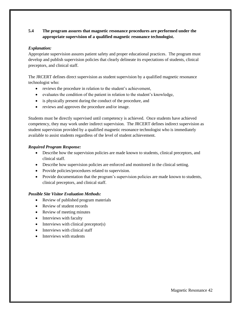# **5.4 The program assures that magnetic resonance procedures are performed under the appropriate supervision of a qualified magnetic resonance technologist.**

## *Explanation:*

Appropriate supervision assures patient safety and proper educational practices. The program must develop and publish supervision policies that clearly delineate its expectations of students, clinical preceptors, and clinical staff.

The JRCERT defines direct supervision as student supervision by a qualified magnetic resonance technologist who:

- reviews the procedure in relation to the student's achievement,
- evaluates the condition of the patient in relation to the student's knowledge,
- is physically present during the conduct of the procedure, and
- reviews and approves the procedure and/or image.

Students must be directly supervised until competency is achieved. Once students have achieved competency, they may work under indirect supervision. The JRCERT defines indirect supervision as student supervision provided by a qualified magnetic resonance technologist who is immediately available to assist students regardless of the level of student achievement.

#### *Required Program Response:*

- Describe how the supervision policies are made known to students, clinical preceptors, and clinical staff.
- Describe how supervision policies are enforced and monitored in the clinical setting.
- Provide policies/procedures related to supervision.
- Provide documentation that the program's supervision policies are made known to students, clinical preceptors, and clinical staff.

- Review of published program materials
- Review of student records
- Review of meeting minutes
- Interviews with faculty
- Interviews with clinical preceptor(s)
- Interviews with clinical staff
- Interviews with students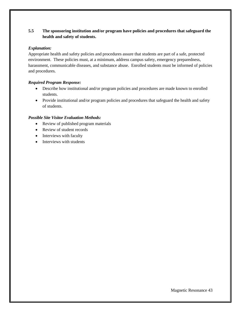# **5.5 The sponsoring institution and/or program have policies and procedures that safeguard the health and safety of students.**

## *Explanation:*

Appropriate health and safety policies and procedures assure that students are part of a safe, protected environment. These policies must, at a minimum, address campus safety, emergency preparedness, harassment, communicable diseases, and substance abuse. Enrolled students must be informed of policies and procedures.

# *Required Program Response:*

- Describe how institutional and/or program policies and procedures are made known to enrolled students.
- Provide institutional and/or program policies and procedures that safeguard the health and safety of students.

- Review of published program materials
- Review of student records
- Interviews with faculty
- Interviews with students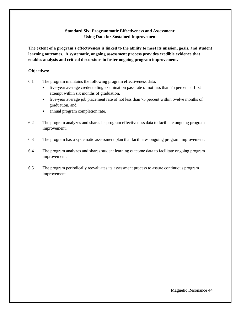# **Standard Six: Programmatic Effectiveness and Assessment: Using Data for Sustained Improvement**

**The extent of a program's effectiveness is linked to the ability to meet its mission, goals, and student learning outcomes. A systematic, ongoing assessment process provides credible evidence that enables analysis and critical discussions to foster ongoing program improvement.** 

#### **Objectives:**

- 6.1 The program maintains the following program effectiveness data:
	- five-year average credentialing examination pass rate of not less than 75 percent at first attempt within six months of graduation,
	- five-year average job placement rate of not less than 75 percent within twelve months of graduation, and
	- annual program completion rate.
- 6.2 The program analyzes and shares its program effectiveness data to facilitate ongoing program improvement.
- 6.3 The program has a systematic assessment plan that facilitates ongoing program improvement.
- 6.4 The program analyzes and shares student learning outcome data to facilitate ongoing program improvement.
- 6.5 The program periodically reevaluates its assessment process to assure continuous program improvement.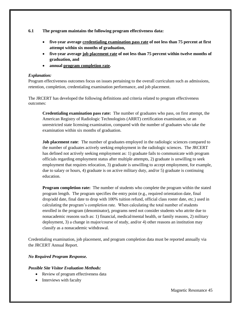**6.1 The program maintains the following program effectiveness data:** 

- **five-year average credentialing examination pass rate of not less than 75 percent at first attempt within six months of graduation,**
- **five-year average job placement rate of not less than 75 percent within twelve months of graduation, and**
- **annual program completion rate.**

#### *Explanation:*

Program effectiveness outcomes focus on issues pertaining to the overall curriculum such as admissions, retention, completion, credentialing examination performance, and job placement.

The JRCERT has developed the following definitions and criteria related to program effectiveness outcomes:

**Credentialing examination pass rate:** The number of graduates who pass, on first attempt, the American Registry of Radiologic Technologists (ARRT) certification examination, or an unrestricted state licensing examination, compared with the number of graduates who take the examination within six months of graduation.

**Job placement rate**: The number of graduates employed in the radiologic sciences compared to the number of graduates actively seeking employment in the radiologic sciences. The JRCERT has defined not actively seeking employment as: 1) graduate fails to communicate with program officials regarding employment status after multiple attempts, 2) graduate is unwilling to seek employment that requires relocation, 3) graduate is unwilling to accept employment, for example, due to salary or hours, 4) graduate is on active military duty, and/or 5) graduate is continuing education.

**Program completion rate:** The number of students who complete the program within the stated program length. The program specifies the entry point  $(e.g., required orientation date, final)$ drop/add date, final date to drop with 100% tuition refund, official class roster date, etc.) used in calculating the program's completion rate. When calculating the total number of students enrolled in the program (denominator), programs need not consider students who attrite due to nonacademic reasons such as: 1) financial, medical/mental health, or family reasons, 2) military deployment, 3) a change in major/course of study, and/or 4) other reasons an institution may classify as a nonacademic withdrawal.

Credentialing examination, job placement, and program completion data must be reported annually via the JRCERT Annual Report.

# *No Required Program Response.*

- Review of program effectiveness data
- Interviews with faculty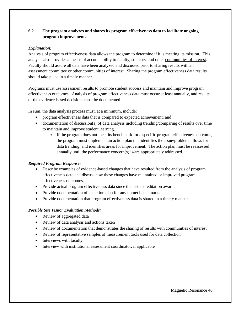# **6.2 The program analyzes and shares its program effectiveness data to facilitate ongoing program improvement.**

#### *Explanation:*

Analysis of program effectiveness data allows the program to determine if it is meeting its mission. This analysis also provides a means of accountability to faculty, students, and other communities of interest. Faculty should assure all data have been analyzed and discussed prior to sharing results with an assessment committee or other communities of interest. Sharing the program effectiveness data results should take place in a timely manner.

Programs must use assessment results to promote student success and maintain and improve program effectiveness outcomes. Analysis of program effectiveness data must occur at least annually, and results of the evidence-based decisions must be documented.

In sum, the data analysis process must, at a minimum, include:

- program effectiveness data that is compared to expected achievement; and
- documentation of discussion(s) of data analysis including trending/comparing of results over time to maintain and improve student learning.
	- o If the program does not meet its benchmark for a specific program effectiveness outcome, the program must implement an action plan that identifies the issue/problem, allows for data trending, and identifies areas for improvement. The action plan must be reassessed annually until the performance concern(s) is/are appropriately addressed.

#### *Required Program Response:*

- Describe examples of evidence-based changes that have resulted from the analysis of program effectiveness data and discuss how these changes have maintained or improved program effectiveness outcomes.
- Provide actual program effectiveness data since the last accreditation award.
- Provide documentation of an action plan for any unmet benchmarks.
- Provide documentation that program effectiveness data is shared in a timely manner.

- Review of aggregated data
- Review of data analysis and actions taken
- Review of documentation that demonstrates the sharing of results with communities of interest
- Review of representative samples of measurement tools used for data collection
- Interviews with faculty
- Interview with institutional assessment coordinator, if applicable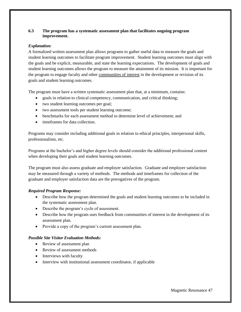## **6.3 The program has a systematic assessment plan that facilitates ongoing program improvement.**

#### *Explanation:*

A formalized written assessment plan allows programs to gather useful data to measure the goals and student learning outcomes to facilitate program improvement. Student learning outcomes must align with the goals and be explicit, measurable, and state the learning expectations. The development of goals and student learning outcomes allows the program to measure the attainment of its mission. It is important for the program to engage faculty and other communities of interest in the development or revision of its goals and student learning outcomes.

The program must have a written systematic assessment plan that, at a minimum, contains:

- goals in relation to clinical competency, communication, and critical thinking;
- two student learning outcomes per goal;
- two assessment tools per student learning outcome;
- benchmarks for each assessment method to determine level of achievement; and
- timeframes for data collection.

Programs may consider including additional goals in relation to ethical principles, interpersonal skills, professionalism, etc.

Programs at the bachelor's and higher degree levels should consider the additional professional content when developing their goals and student learning outcomes.

The program must also assess graduate and employer satisfaction. Graduate and employer satisfaction may be measured through a variety of methods. The methods and timeframes for collection of the graduate and employer satisfaction data are the prerogatives of the program.

# *Required Program Response:*

- Describe how the program determined the goals and student learning outcomes to be included in the systematic assessment plan.
- Describe the program's cycle of assessment.
- Describe how the program uses feedback from communities of interest in the development of its assessment plan.
- Provide a copy of the program's current assessment plan.

- Review of assessment plan
- Review of assessment methods
- Interviews with faculty
- Interview with institutional assessment coordinator, if applicable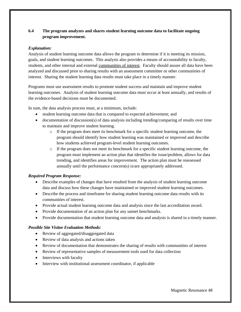# **6.4 The program analyzes and shares student learning outcome data to facilitate ongoing program improvement.**

#### *Explanation:*

Analysis of student learning outcome data allows the program to determine if it is meeting its mission, goals, and student learning outcomes. This analysis also provides a means of accountability to faculty, students, and other internal and external communities of interest. Faculty should assure all data have been analyzed and discussed prior to sharing results with an assessment committee or other communities of interest. Sharing the student learning data results must take place in a timely manner.

Programs must use assessment results to promote student success and maintain and improve student learning outcomes. Analysis of student learning outcome data must occur at least annually, and results of the evidence-based decisions must be documented.

In sum, the data analysis process must, at a minimum, include:

- student learning outcome data that is compared to expected achievement; and
- documentation of discussion(s) of data analysis including trending/comparing of results over time to maintain and improve student learning.
	- $\circ$  If the program does meet its benchmark for a specific student learning outcome, the program should identify how student learning was maintained or improved and describe how students achieved program-level student learning outcomes.
	- o If the program does not meet its benchmark for a specific student learning outcome, the program must implement an action plan that identifies the issue/problem, allows for data trending, and identifies areas for improvement. The action plan must be reassessed annually until the performance concern(s) is/are appropriately addressed.

# *Required Program Response:*

- Describe examples of changes that have resulted from the analysis of student learning outcome data and discuss how these changes have maintained or improved student learning outcomes.
- Describe the process and timeframe for sharing student learning outcome data results with its communities of interest.
- Provide actual student learning outcome data and analysis since the last accreditation award.
- Provide documentation of an action plan for any unmet benchmarks.
- Provide documentation that student learning outcome data and analysis is shared in a timely manner.

- Review of aggregated/disaggregated data
- Review of data analysis and actions taken
- Review of documentation that demonstrates the sharing of results with communities of interest
- Review of representative samples of measurement tools used for data collection
- Interviews with faculty
- Interview with institutional assessment coordinator, if applicable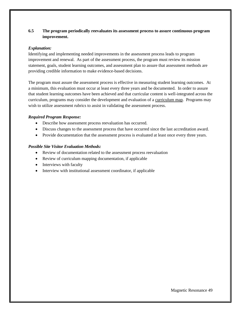# **6.5 The program periodically reevaluates its assessment process to assure continuous program improvement.**

#### *Explanation:*

Identifying and implementing needed improvements in the assessment process leads to program improvement and renewal. As part of the assessment process, the program must review its mission statement, goals, student learning outcomes, and assessment plan to assure that assessment methods are providing credible information to make evidence-based decisions.

The program must assure the assessment process is effective in measuring student learning outcomes. At a minimum, this evaluation must occur at least every three years and be documented. In order to assure that student learning outcomes have been achieved and that curricular content is well-integrated across the curriculum, programs may consider the development and evaluation of a curriculum map. Programs may wish to utilize assessment rubrics to assist in validating the assessment process.

#### *Required Program Response:*

- Describe how assessment process reevaluation has occurred.
- Discuss changes to the assessment process that have occurred since the last accreditation award.
- Provide documentation that the assessment process is evaluated at least once every three years.

- Review of documentation related to the assessment process reevaluation
- Review of curriculum mapping documentation, if applicable
- Interviews with faculty
- Interview with institutional assessment coordinator, if applicable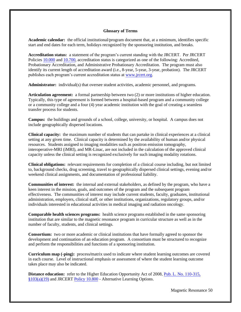#### **Glossary of Terms**

**Academic calendar:** the official institutional/program document that, at a minimum, identifies specific start and end dates for each term, holidays recognized by the sponsoring institution, and breaks.

**Accreditation status:** a statement of the program's current standing with the JRCERT. Per JRCERT Policies [10.000](https://www.jrcert.org/resources/governance/accreditation-policies/10-000/) and [10.700,](https://www.jrcert.org/resources/governance/accreditation-policies/10-700/) accreditation status is categorized as one of the following: Accredited, Probationary Accreditation, and Administrative Probationary Accreditation. The program must also identify its current length of accreditation award (i.e., 8-year, 5-year, 3-year, probation). The JRCERT publishes each program's current accreditation status at [www.jrcert.org.](http://www.jrcert.org/)

**Administrator:** individual(s) that oversee student activities, academic personnel, and programs.

**Articulation agreement:** a formal partnership between two (2) or more institutions of higher education. Typically, this type of agreement is formed between a hospital-based program and a community college or a community college and a four (4) year academic institution with the goal of creating a seamless transfer process for students.

**Campus:** the buildings and grounds of a school, college, university, or hospital. A campus does not include geographically dispersed locations.

**Clinical capacity:** the maximum number of students that can partake in clinical experiences at a clinical setting at any given time. Clinical capacity is determined by the availability of human and/or physical resources. Students assigned to imaging modalities such as positron emission tomography, interoperative-MRI (iMRI), and MR-Linac, are not included in the calculation of the approved clinical capacity unless the clinical setting is recognized exclusively for such imaging modality rotations.

**Clinical obligations:** relevant requirements for completion of a clinical course including, but not limited to, background checks, drug screening, travel to geographically dispersed clinical settings, evening and/or weekend clinical assignments, and documentation of professional liability.

**Communities of interest:** the internal and external stakeholders, as defined by the program, who have a keen interest in the mission, goals, and outcomes of the program and the subsequent program effectiveness. The communities of interest may include current students, faculty, graduates, institutional administration, employers, clinical staff, or other institutions, organizations, regulatory groups, and/or individuals interested in educational activities in medical imaging and radiation oncology.

**Comparable health sciences programs:** health science programs established in the same sponsoring institution that are similar to the magnetic resonance program in curricular structure as well as in the number of faculty, students, and clinical settings.

**Consortium:** two or more academic or clinical institutions that have formally agreed to sponsor the development and continuation of an education program. A consortium must be structured to recognize and perform the responsibilities and functions of a sponsoring institution.

**Curriculum map (-ping):** process**/**matrix used to indicate where student learning outcomes are covered in each course. Level of instructional emphasis or assessment of where the student learning outcome takes place may also be indicated.

**Distance education:** refer to the Higher Education Opportunity Act of 2008, [Pub. L. No. 110-315,](https://www.gpo.gov/fdsys/pkg/PLAW-110publ315/content-detail.html)  [§103\(a\)\(19\)](https://www.gpo.gov/fdsys/pkg/PLAW-110publ315/content-detail.html) and JRCERT [Policy 10.800](https://www.jrcert.org/resources/governance/accreditation-policies/10-800/) - Alternative Learning Options.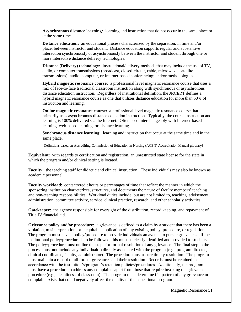**Asynchronous distance learning:** learning and instruction that do not occur in the same place or at the same time.

**Distance education:** an educational process characterized by the separation, in time and/or place, between instructor and student. Distance education supports regular and substantive interaction synchronously or asynchronously between the instructor and student through one or more interactive distance delivery technologies.

**Distance (Delivery) technology:** instructional/delivery methods that may include the use of TV, audio, or computer transmissions (broadcast, closed-circuit, cable, microwave, satellite transmissions); audio, computer, or Internet-based conferencing; and/or methodologies.

**Hybrid magnetic resonance course:** a professional level magnetic resonance course that uses a mix of face-to-face traditional classroom instruction along with synchronous or asynchronous distance education instruction. Regardless of institutional definition, the JRCERT defines a hybrid magnetic resonance course as one that utilizes distance education for more than 50% of instruction and learning.

**Online magnetic resonance course:** a professional level magnetic resonance course that primarily uses asynchronous distance education instruction. Typically, the course instruction and learning is 100% delivered via the Internet. Often used interchangeably with Internet-based learning, web-based learning, or distance learning.

**Synchronous distance learning:** learning and instruction that occur at the same time and in the same place.

[Definitions based on Accrediting Commission of Education in Nursing (ACEN) Accreditation Manual glossary]

**Equivalent:** with regards to certification and registration, an unrestricted state license for the state in which the program and/or clinical setting is located.

**Faculty:** the teaching staff for didactic and clinical instruction. These individuals may also be known as academic personnel.

**Faculty workload**: contact/credit hours or percentages of time that reflect the manner in which the sponsoring institution characterizes, structures, and documents the nature of faculty members' teaching and non-teaching responsibilities. Workload duties include, but are not limited to, teaching, advisement, administration, committee activity, service, clinical practice, research, and other scholarly activities.

**Gatekeeper:** the agency responsible for oversight of the distribution, record keeping, and repayment of Title IV financial aid.

**Grievance policy and/or procedure:** a grievance is defined as a claim by a student that there has been a violation, misinterpretation, or inequitable application of any existing policy, procedure, or regulation. The program must have a policy/procedure to provide individuals an avenue to pursue grievances. If the institutional policy/procedure is to be followed, this must be clearly identified and provided to students. The policy/procedure must outline the steps for formal resolution of any grievance. The final step in the process must not include any individual(s) directly associated with the program (e.g., program director, clinical coordinator, faculty, administrator). The procedure must assure timely resolution. The program must maintain a record of all formal grievances and their resolution. Records must be retained in accordance with the institution's/program's retention policies/procedures. Additionally, the program must have a procedure to address any complaints apart from those that require invoking the grievance procedure (e.g., cleanliness of classroom). The program must determine if a pattern of any grievance or complaint exists that could negatively affect the quality of the educational program.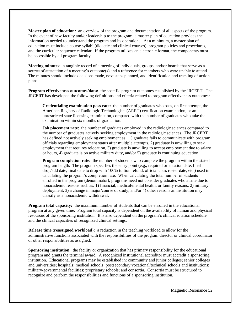**Master plan of education:** an overview of the program and documentation of all aspects of the program. In the event of new faculty and/or leadership to the program, a master plan of education provides the information needed to understand the program and its operations. At a minimum, a master plan of education must include course syllabi (didactic and clinical courses), program policies and procedures, and the curricular sequence calendar. If the program utilizes an electronic format, the components must be accessible by all program faculty.

**Meeting minutes:** a tangible record of a meeting of individuals, groups, and/or boards that serve as a source of attestation of a meeting's outcome(s) and a reference for members who were unable to attend. The minutes should include decisions made, next steps planned, and identification and tracking of action plans.

**Program effectiveness outcomes/data:** the specific program outcomes established by the JRCERT. The JRCERT has developed the following definitions and criteria related to program effectiveness outcomes:

**Credentialing examination pass rate:** the number of graduates who pass, on first attempt, the American Registry of Radiologic Technologists (ARRT) certification examination, or an unrestricted state licensing examination, compared with the number of graduates who take the examination within six months of graduation.

**Job placement rate**: the number of graduates employed in the radiologic sciences compared to the number of graduates actively seeking employment in the radiologic sciences. The JRCERT has defined not actively seeking employment as: 1) graduate fails to communicate with program officials regarding employment status after multiple attempts, 2) graduate is unwilling to seek employment that requires relocation, 3) graduate is unwilling to accept employment due to salary or hours, 4) graduate is on active military duty, and/or 5) graduate is continuing education.

**Program completion rate:** the number of students who complete the program within the stated program length. The program specifies the entry point  $(e.g., required orientation date, final)$ drop/add date, final date to drop with 100% tuition refund, official class roster date, etc.) used in calculating the program's completion rate. When calculating the total number of students enrolled in the program (denominator), programs need not consider graduates who attrite due to nonacademic reasons such as: 1) financial, medical/mental health, or family reasons, 2) military deployment, 3) a change in major/course of study, and/or 4) other reasons an institution may classify as a nonacademic withdrawal.

**Program total capacity:** the maximum number of students that can be enrolled in the educational program at any given time. Program total capacity is dependent on the availability of human and physical resources of the sponsoring institution. It is also dependent on the program's clinical rotation schedule and the clinical capacities of recognized clinical settings.

**Release time (reassigned workload):** a reduction in the teaching workload to allow for the administrative functions associated with the responsibilities of the program director or clinical coordinator or other responsibilities as assigned.

**Sponsoring institution**: the facility or organization that has primary responsibility for the educational program and grants the terminal award. A recognized institutional accreditor must accredit a sponsoring institution. Educational programs may be established in: community and junior colleges; senior colleges and universities; hospitals; medical schools; postsecondary vocational/technical schools and institutions; military/governmental facilities; proprietary schools; and consortia. Consortia must be structured to recognize and perform the responsibilities and functions of a sponsoring institution.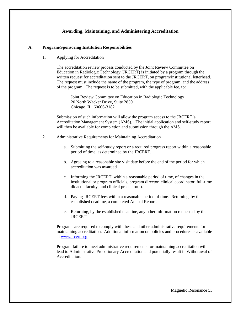# **Awarding, Maintaining, and Administering Accreditation**

#### **A. Program/Sponsoring Institution Responsibilities**

1. Applying for Accreditation

The accreditation review process conducted by the Joint Review Committee on Education in Radiologic Technology (JRCERT) is initiated by a program through the written request for accreditation sent to the JRCERT, on program/institutional letterhead. The request must include the name of the program, the type of program, and the address of the program. The request is to be submitted, with the applicable fee, to:

Joint Review Committee on Education in Radiologic Technology 20 North Wacker Drive, Suite 2850 Chicago, IL 60606-3182

Submission of such information will allow the program access to the JRCERT's Accreditation Management System (AMS). The initial application and self-study report will then be available for completion and submission through the AMS.

- 2. Administrative Requirements for Maintaining Accreditation
	- a. Submitting the self-study report or a required progress report within a reasonable period of time, as determined by the JRCERT.
	- b. Agreeing to a reasonable site visit date before the end of the period for which accreditation was awarded.
	- c. Informing the JRCERT, within a reasonable period of time, of changes in the institutional or program officials, program director, clinical coordinator, full-time didactic faculty, and clinical preceptor(s).
	- d. Paying JRCERT fees within a reasonable period of time. Returning, by the established deadline, a completed Annual Report.
	- e. Returning, by the established deadline, any other information requested by the JRCERT.

Programs are required to comply with these and other administrative requirements for maintaining accreditation. Additional information on policies and procedures is available at [www.jrcert.org.](http://www.jrcert.org/)

Program failure to meet administrative requirements for maintaining accreditation will lead to Administrative Probationary Accreditation and potentially result in Withdrawal of Accreditation.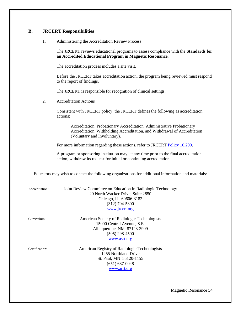# **B. JRCERT Responsibilities**

1. Administering the Accreditation Review Process

The JRCERT reviews educational programs to assess compliance with the **Standards for an Accredited Educational Program in Magnetic Resonance**.

The accreditation process includes a site visit.

Before the JRCERT takes accreditation action, the program being reviewed must respond to the report of findings.

The JRCERT is responsible for recognition of clinical settings.

2. Accreditation Actions

Consistent with JRCERT policy, the JRCERT defines the following as accreditation actions:

Accreditation, Probationary Accreditation, Administrative Probationary Accreditation, Withholding Accreditation, and Withdrawal of Accreditation (Voluntary and Involuntary).

For more information regarding these actions, refer to JRCERT [Policy 10.200.](https://www.jrcert.org/resources/governance/accreditation-policies/10-200/)

A program or sponsoring institution may, at any time prior to the final accreditation action, withdraw its request for initial or continuing accreditation.

Educators may wish to contact the following organizations for additional information and materials:

| Accreditation: | Joint Review Committee on Education in Radiologic Technology<br>20 North Wacker Drive, Suite 2850<br>Chicago, IL 60606-3182<br>$(312)$ 704-5300<br>www.jrcert.org |
|----------------|-------------------------------------------------------------------------------------------------------------------------------------------------------------------|
| Curriculum:    | American Society of Radiologic Technologists<br>15000 Central Avenue, S.E.<br>Albuquerque, NM 87123-3909<br>$(505)$ 298-4500<br>www.asrt.org                      |
| Certification: | American Registry of Radiologic Technologists<br>1255 Northland Drive<br>St. Paul, MN 55120-1155<br>(651) 687-0048                                                |

[www.arrt.org](http://www.arrt.org/)